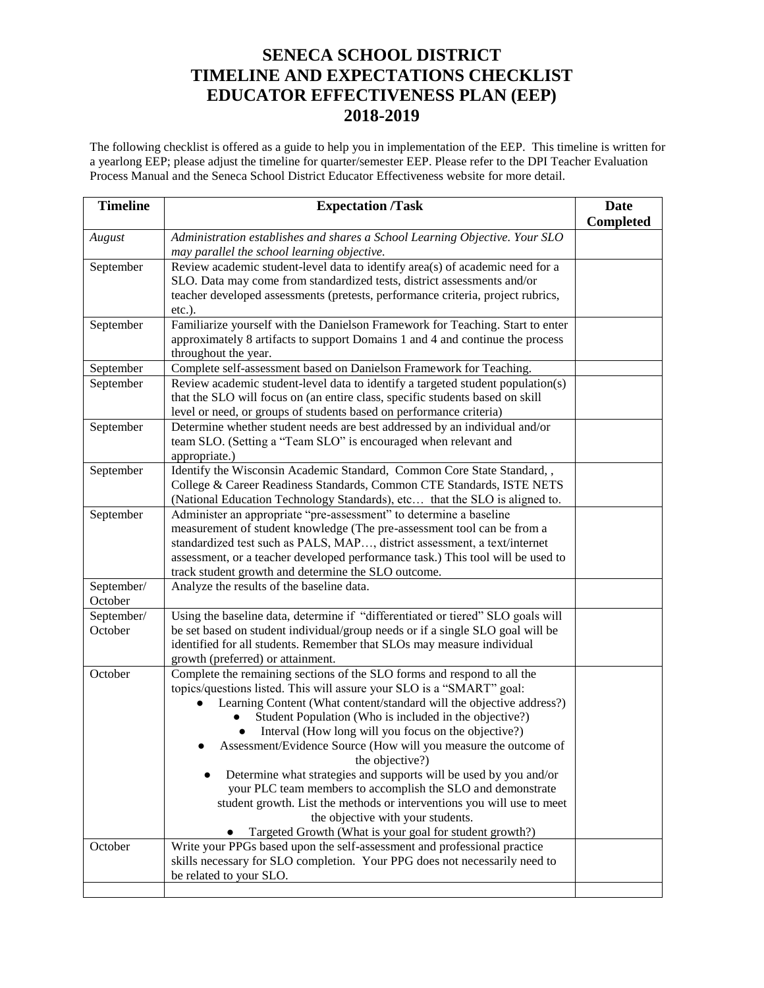## **SENECA SCHOOL DISTRICT TIMELINE AND EXPECTATIONS CHECKLIST EDUCATOR EFFECTIVENESS PLAN (EEP) 2018-2019**

The following checklist is offered as a guide to help you in implementation of the EEP. This timeline is written for a yearlong EEP; please adjust the timeline for quarter/semester EEP. Please refer to the DPI Teacher Evaluation Process Manual and the Seneca School District Educator Effectiveness website for more detail.

| <b>Timeline</b>       | <b>Expectation /Task</b>                                                                                                                                                                                                                                                                                                                                                                                                                                                                                                                                                                                                                                                                                                                       | <b>Date</b><br><b>Completed</b> |
|-----------------------|------------------------------------------------------------------------------------------------------------------------------------------------------------------------------------------------------------------------------------------------------------------------------------------------------------------------------------------------------------------------------------------------------------------------------------------------------------------------------------------------------------------------------------------------------------------------------------------------------------------------------------------------------------------------------------------------------------------------------------------------|---------------------------------|
| August                | Administration establishes and shares a School Learning Objective. Your SLO<br>may parallel the school learning objective.                                                                                                                                                                                                                                                                                                                                                                                                                                                                                                                                                                                                                     |                                 |
| September             | Review academic student-level data to identify area(s) of academic need for a<br>SLO. Data may come from standardized tests, district assessments and/or<br>teacher developed assessments (pretests, performance criteria, project rubrics,<br>$etc.$ ).                                                                                                                                                                                                                                                                                                                                                                                                                                                                                       |                                 |
| September             | Familiarize yourself with the Danielson Framework for Teaching. Start to enter<br>approximately 8 artifacts to support Domains 1 and 4 and continue the process<br>throughout the year.                                                                                                                                                                                                                                                                                                                                                                                                                                                                                                                                                        |                                 |
| September             | Complete self-assessment based on Danielson Framework for Teaching.                                                                                                                                                                                                                                                                                                                                                                                                                                                                                                                                                                                                                                                                            |                                 |
| September             | Review academic student-level data to identify a targeted student population(s)<br>that the SLO will focus on (an entire class, specific students based on skill<br>level or need, or groups of students based on performance criteria)                                                                                                                                                                                                                                                                                                                                                                                                                                                                                                        |                                 |
| September             | Determine whether student needs are best addressed by an individual and/or<br>team SLO. (Setting a "Team SLO" is encouraged when relevant and<br>appropriate.)                                                                                                                                                                                                                                                                                                                                                                                                                                                                                                                                                                                 |                                 |
| September             | Identify the Wisconsin Academic Standard, Common Core State Standard, ,<br>College & Career Readiness Standards, Common CTE Standards, ISTE NETS<br>(National Education Technology Standards), etc that the SLO is aligned to.                                                                                                                                                                                                                                                                                                                                                                                                                                                                                                                 |                                 |
| September             | Administer an appropriate "pre-assessment" to determine a baseline<br>measurement of student knowledge (The pre-assessment tool can be from a<br>standardized test such as PALS, MAP, district assessment, a text/internet<br>assessment, or a teacher developed performance task.) This tool will be used to<br>track student growth and determine the SLO outcome.                                                                                                                                                                                                                                                                                                                                                                           |                                 |
| September/<br>October | Analyze the results of the baseline data.                                                                                                                                                                                                                                                                                                                                                                                                                                                                                                                                                                                                                                                                                                      |                                 |
| September/<br>October | Using the baseline data, determine if "differentiated or tiered" SLO goals will<br>be set based on student individual/group needs or if a single SLO goal will be<br>identified for all students. Remember that SLOs may measure individual<br>growth (preferred) or attainment.                                                                                                                                                                                                                                                                                                                                                                                                                                                               |                                 |
| October               | Complete the remaining sections of the SLO forms and respond to all the<br>topics/questions listed. This will assure your SLO is a "SMART" goal:<br>Learning Content (What content/standard will the objective address?)<br>Student Population (Who is included in the objective?)<br>Interval (How long will you focus on the objective?)<br>Assessment/Evidence Source (How will you measure the outcome of<br>the objective?)<br>Determine what strategies and supports will be used by you and/or<br>your PLC team members to accomplish the SLO and demonstrate<br>student growth. List the methods or interventions you will use to meet<br>the objective with your students.<br>Targeted Growth (What is your goal for student growth?) |                                 |
| October               | Write your PPGs based upon the self-assessment and professional practice<br>skills necessary for SLO completion. Your PPG does not necessarily need to<br>be related to your SLO.                                                                                                                                                                                                                                                                                                                                                                                                                                                                                                                                                              |                                 |